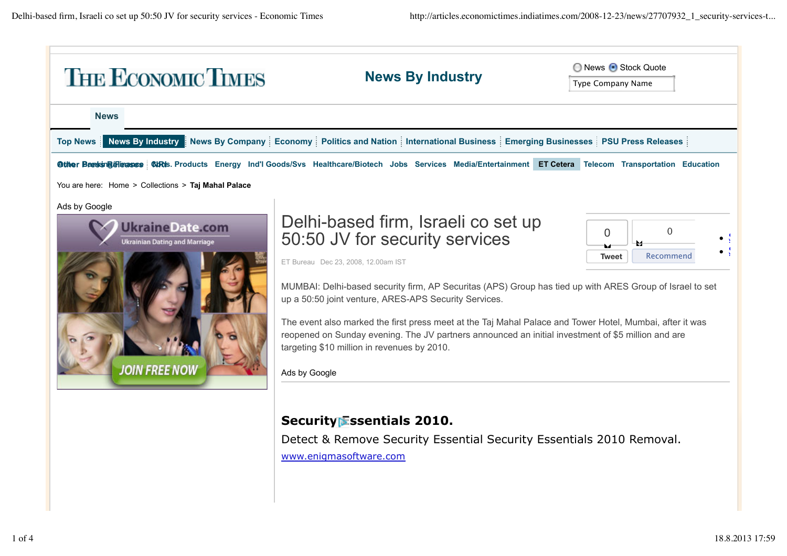